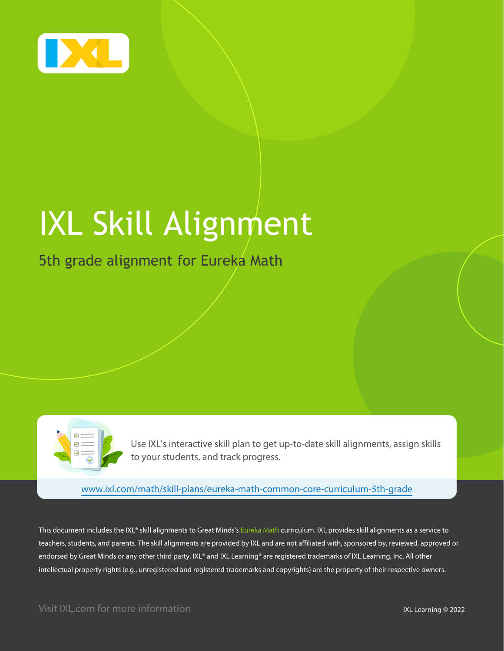

# IXL Skill Alignment

### 5th grade alignment for Eureka Math



Use IXL's interactive skill plan to get up-to-date skill alignments, assign skills to your students, and track progress.

[www.ixl.com/math/skill-plans/eureka-math-common-core-curriculum-5th-grade](https://www.ixl.com/math/skill-plans/eureka-math-common-core-curriculum-5th-grade)

This document includes the IXL® skill alignments to Great Minds's Eureka Math curriculum. IXL provides skill alignments as a service to teachers, students, and parents. The skill alignments are provided by IXL and are not affiliated with, sponsored by, reviewed, approved or endorsed by Great Minds or any other third party. IXL® and IXL Learning® are registered trademarks of IXL Learning, Inc. All other intellectual property rights (e.g., unregistered and registered trademarks and copyrights) are the property of their respective owners.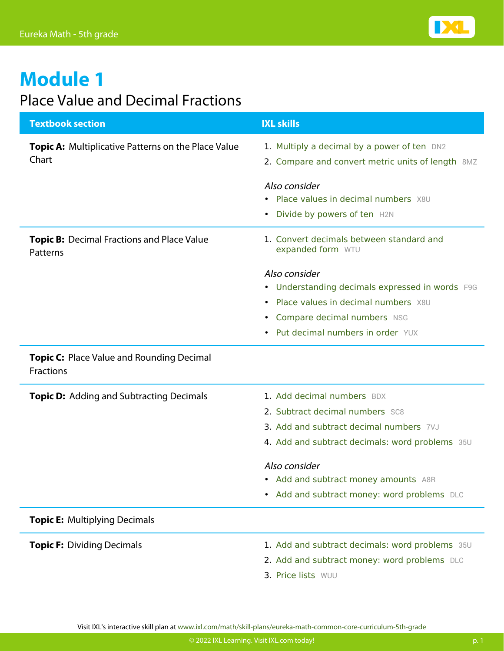

### Place Value and Decimal Fractions

| <b>Textbook section</b>                                      | <b>IXL skills</b>                                                                                                                                                                                                                                                 |
|--------------------------------------------------------------|-------------------------------------------------------------------------------------------------------------------------------------------------------------------------------------------------------------------------------------------------------------------|
| Topic A: Multiplicative Patterns on the Place Value<br>Chart | 1. Multiply a decimal by a power of ten DN2<br>2. Compare and convert metric units of length 8MZ                                                                                                                                                                  |
|                                                              | Also consider<br>• Place values in decimal numbers X8U<br>• Divide by powers of ten H2N                                                                                                                                                                           |
| Topic B: Decimal Fractions and Place Value<br>Patterns       | 1. Convert decimals between standard and<br>expanded form WTU                                                                                                                                                                                                     |
|                                                              | Also consider<br>• Understanding decimals expressed in words F9G<br>• Place values in decimal numbers X8U<br>• Compare decimal numbers NSG<br>Put decimal numbers in order YUX<br>$\bullet$                                                                       |
| Topic C: Place Value and Rounding Decimal<br>Fractions       |                                                                                                                                                                                                                                                                   |
| <b>Topic D:</b> Adding and Subtracting Decimals              | 1. Add decimal numbers BDX<br>2. Subtract decimal numbers SC8<br>3. Add and subtract decimal numbers 7VJ<br>4. Add and subtract decimals: word problems 35U<br>Also consider<br>Add and subtract money amounts A8R<br>• Add and subtract money: word problems DLC |
| <b>Topic E: Multiplying Decimals</b>                         |                                                                                                                                                                                                                                                                   |
| <b>Topic F: Dividing Decimals</b>                            | 1. Add and subtract decimals: word problems 35U<br>2. Add and subtract money: word problems DLC<br>2. Dirichletc 100111                                                                                                                                           |

3. [Price lists](https://www.ixl.com/math/grade-5/price-lists) [WUU](https://www.ixl.com/math/grade-5/price-lists)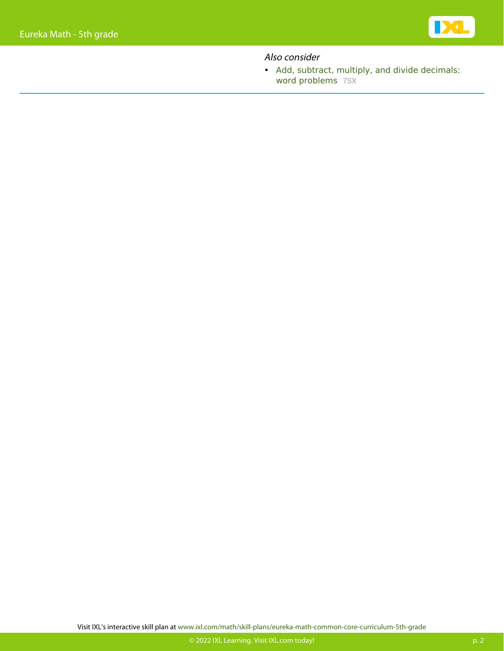

### Also consider

• [Add, subtract, multiply, and divide decimals:](https://www.ixl.com/math/grade-5/add-subtract-multiply-and-divide-decimals-word-problems) [word problems](https://www.ixl.com/math/grade-5/add-subtract-multiply-and-divide-decimals-word-problems) [7SX](https://www.ixl.com/math/grade-5/add-subtract-multiply-and-divide-decimals-word-problems)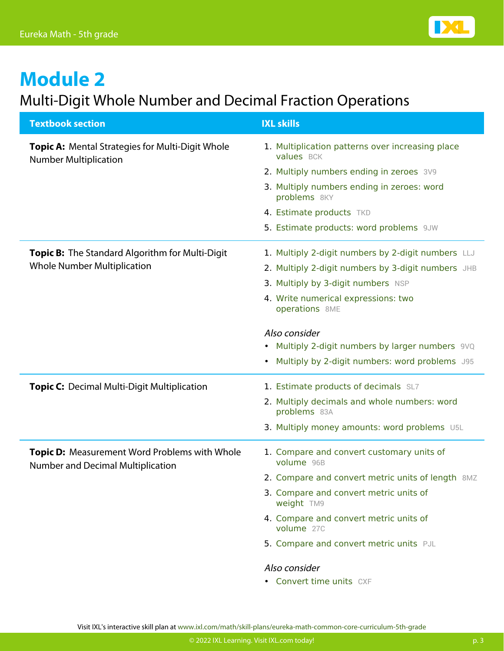

### Multi-Digit Whole Number and Decimal Fraction Operations

| <b>Textbook section</b>                                                                   | <b>IXL skills</b>                                              |
|-------------------------------------------------------------------------------------------|----------------------------------------------------------------|
| <b>Topic A: Mental Strategies for Multi-Digit Whole</b><br><b>Number Multiplication</b>   | 1. Multiplication patterns over increasing place<br>values BCK |
|                                                                                           | 2. Multiply numbers ending in zeroes 3V9                       |
|                                                                                           | 3. Multiply numbers ending in zeroes: word<br>problems 8KY     |
|                                                                                           | 4. Estimate products TKD                                       |
|                                                                                           | 5. Estimate products: word problems 9JW                        |
| Topic B: The Standard Algorithm for Multi-Digit                                           | 1. Multiply 2-digit numbers by 2-digit numbers LLJ             |
| <b>Whole Number Multiplication</b>                                                        | 2. Multiply 2-digit numbers by 3-digit numbers JHB             |
|                                                                                           | 3. Multiply by 3-digit numbers NSP                             |
|                                                                                           | 4. Write numerical expressions: two<br>operations 8ME          |
|                                                                                           | Also consider                                                  |
|                                                                                           | Multiply 2-digit numbers by larger numbers 9VQ<br>$\bullet$    |
|                                                                                           | Multiply by 2-digit numbers: word problems J95<br>$\bullet$    |
| <b>Topic C:</b> Decimal Multi-Digit Multiplication                                        | 1. Estimate products of decimals SL7                           |
|                                                                                           | 2. Multiply decimals and whole numbers: word<br>problems 83A   |
|                                                                                           | 3. Multiply money amounts: word problems U5L                   |
| <b>Topic D:</b> Measurement Word Problems with Whole<br>Number and Decimal Multiplication | 1. Compare and convert customary units of<br>volume 96B        |
|                                                                                           | 2. Compare and convert metric units of length 8MZ              |
|                                                                                           | 3. Compare and convert metric units of<br>weight TM9           |
|                                                                                           | 4. Compare and convert metric units of<br>volume 27C           |
|                                                                                           | 5. Compare and convert metric units PJL                        |
|                                                                                           | Also consider                                                  |
|                                                                                           | • Convert time units CXF                                       |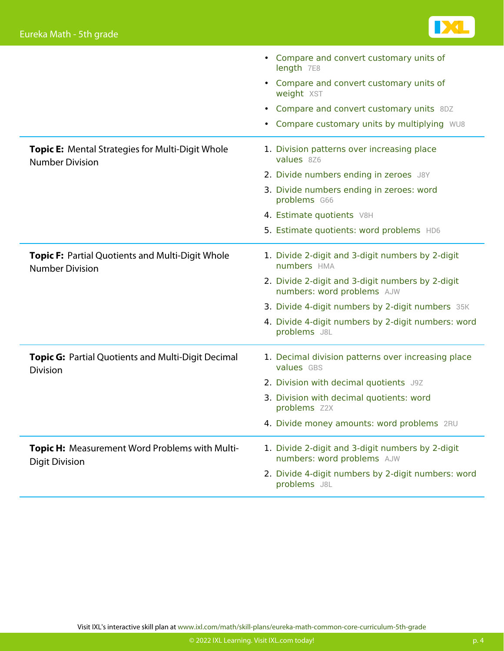

|                                                                                   | • Compare and convert customary units of<br>length 7E8                         |
|-----------------------------------------------------------------------------------|--------------------------------------------------------------------------------|
|                                                                                   | • Compare and convert customary units of<br>weight XST                         |
|                                                                                   | • Compare and convert customary units 8DZ                                      |
|                                                                                   | • Compare customary units by multiplying WU8                                   |
| Topic E: Mental Strategies for Multi-Digit Whole<br><b>Number Division</b>        | 1. Division patterns over increasing place<br>values 8Z6                       |
|                                                                                   | 2. Divide numbers ending in zeroes J8Y                                         |
|                                                                                   | 3. Divide numbers ending in zeroes: word<br>problems G66                       |
|                                                                                   | 4. Estimate quotients V8H                                                      |
|                                                                                   | 5. Estimate quotients: word problems HD6                                       |
| <b>Topic F: Partial Quotients and Multi-Digit Whole</b><br><b>Number Division</b> | 1. Divide 2-digit and 3-digit numbers by 2-digit<br>numbers HMA                |
|                                                                                   | 2. Divide 2-digit and 3-digit numbers by 2-digit<br>numbers: word problems AJW |
|                                                                                   | 3. Divide 4-digit numbers by 2-digit numbers 35K                               |
|                                                                                   | 4. Divide 4-digit numbers by 2-digit numbers: word<br>problems J8L             |
| <b>Topic G: Partial Quotients and Multi-Digit Decimal</b><br><b>Division</b>      | 1. Decimal division patterns over increasing place<br>values GBS               |
|                                                                                   | 2. Division with decimal quotients J9Z                                         |
|                                                                                   | 3. Division with decimal quotients: word<br>problems Z2X                       |
|                                                                                   | 4. Divide money amounts: word problems 2RU                                     |
| <b>Topic H:</b> Measurement Word Problems with Multi-<br><b>Digit Division</b>    | 1. Divide 2-digit and 3-digit numbers by 2-digit<br>numbers: word problems AJW |
|                                                                                   | 2. Divide 4-digit numbers by 2-digit numbers: word<br>problems J8L             |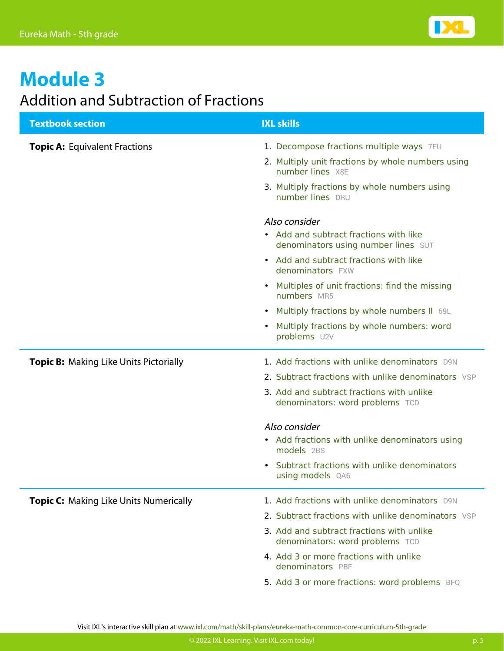

### Addition and Subtraction of Fractions

| <b>Textbook section</b>                       | <b>IXL skills</b>                                                             |
|-----------------------------------------------|-------------------------------------------------------------------------------|
| <b>Topic A: Equivalent Fractions</b>          | 1. Decompose fractions multiple ways 7FU                                      |
|                                               | 2. Multiply unit fractions by whole numbers using<br>number lines X8E         |
|                                               | 3. Multiply fractions by whole numbers using<br>number lines DRU              |
|                                               | Also consider                                                                 |
|                                               | • Add and subtract fractions with like<br>denominators using number lines SUT |
|                                               | • Add and subtract fractions with like<br>denominators FXW                    |
|                                               | Multiples of unit fractions: find the missing<br>numbers MR5                  |
|                                               | • Multiply fractions by whole numbers II 69L                                  |
|                                               | Multiply fractions by whole numbers: word<br>problems U2V                     |
| <b>Topic B:</b> Making Like Units Pictorially | 1. Add fractions with unlike denominators D9N                                 |
|                                               | 2. Subtract fractions with unlike denominators VSP                            |
|                                               | 3. Add and subtract fractions with unlike<br>denominators: word problems TCD  |
|                                               | Also consider                                                                 |
|                                               | • Add fractions with unlike denominators using<br>models 2BS                  |
|                                               | • Subtract fractions with unlike denominators<br>using models QA6             |
| <b>Topic C:</b> Making Like Units Numerically | 1. Add fractions with unlike denominators D9N                                 |
|                                               | 2. Subtract fractions with unlike denominators VSP                            |
|                                               | 3. Add and subtract fractions with unlike<br>denominators: word problems TCD  |
|                                               | 4. Add 3 or more fractions with unlike<br>denominators PBF                    |
|                                               | 5. Add 3 or more fractions: word problems BFQ                                 |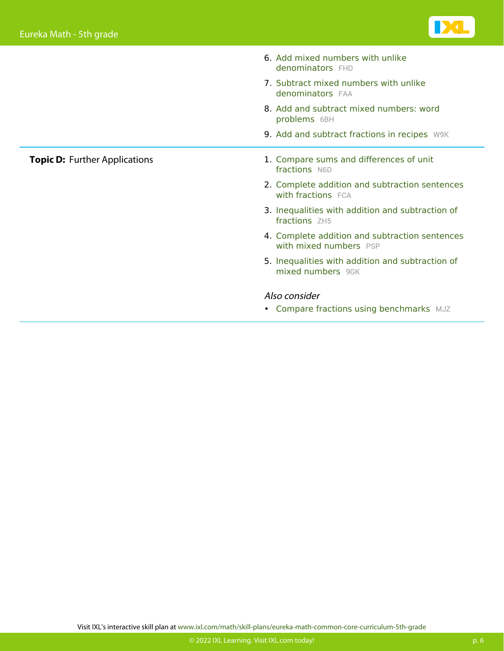**Topic D: Further Applications** 



| 6. Add mixed numbers with unlike<br>denominators FHD                     |
|--------------------------------------------------------------------------|
| 7. Subtract mixed numbers with unlike<br><b>denominators</b> FAA         |
| 8. Add and subtract mixed numbers: word<br>problems 6BH                  |
| 9. Add and subtract fractions in recipes W9K                             |
| 1. Compare sums and differences of unit<br>fractions N6D                 |
| 2. Complete addition and subtraction sentences<br>with fractions FCA     |
| 3. Inequalities with addition and subtraction of<br>fractions 7H5        |
| 4. Complete addition and subtraction sentences<br>with mixed numbers PSP |
| 5. Inequalities with addition and subtraction of<br>mixed numbers 9GK    |
| Also consider                                                            |
| • Compare fractions using benchmarks MJZ                                 |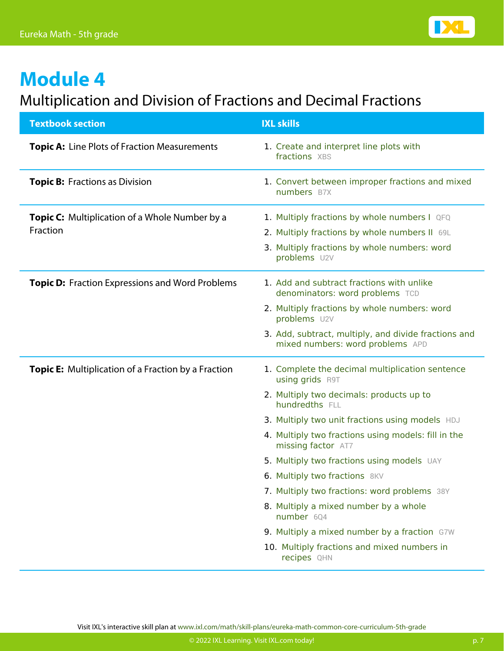

### Multiplication and Division of Fractions and Decimal Fractions

| <b>Textbook section</b>                                           | <b>IXL skills</b>                                                                                                                                                                                                                                                                                                                                                                                                                                                                                                                                                           |
|-------------------------------------------------------------------|-----------------------------------------------------------------------------------------------------------------------------------------------------------------------------------------------------------------------------------------------------------------------------------------------------------------------------------------------------------------------------------------------------------------------------------------------------------------------------------------------------------------------------------------------------------------------------|
| <b>Topic A:</b> Line Plots of Fraction Measurements               | 1. Create and interpret line plots with<br>fractions XBS                                                                                                                                                                                                                                                                                                                                                                                                                                                                                                                    |
| <b>Topic B:</b> Fractions as Division                             | 1. Convert between improper fractions and mixed<br>numbers B7X                                                                                                                                                                                                                                                                                                                                                                                                                                                                                                              |
| <b>Topic C:</b> Multiplication of a Whole Number by a<br>Fraction | 1. Multiply fractions by whole numbers I QFQ<br>2. Multiply fractions by whole numbers II 69L<br>3. Multiply fractions by whole numbers: word<br>problems U2V                                                                                                                                                                                                                                                                                                                                                                                                               |
| <b>Topic D:</b> Fraction Expressions and Word Problems            | 1. Add and subtract fractions with unlike<br>denominators: word problems TCD<br>2. Multiply fractions by whole numbers: word<br>problems U2V<br>3. Add, subtract, multiply, and divide fractions and<br>mixed numbers: word problems APD                                                                                                                                                                                                                                                                                                                                    |
| <b>Topic E:</b> Multiplication of a Fraction by a Fraction        | 1. Complete the decimal multiplication sentence<br><b>using grids R9T</b><br>2. Multiply two decimals: products up to<br>hundredths FLL<br>3. Multiply two unit fractions using models HDJ<br>4. Multiply two fractions using models: fill in the<br>missing factor AT7<br>5. Multiply two fractions using models UAY<br>6. Multiply two fractions 8KV<br>7. Multiply two fractions: word problems 38Y<br>8. Multiply a mixed number by a whole<br>number 6Q4<br>9. Multiply a mixed number by a fraction G7W<br>10. Multiply fractions and mixed numbers in<br>recipes QHN |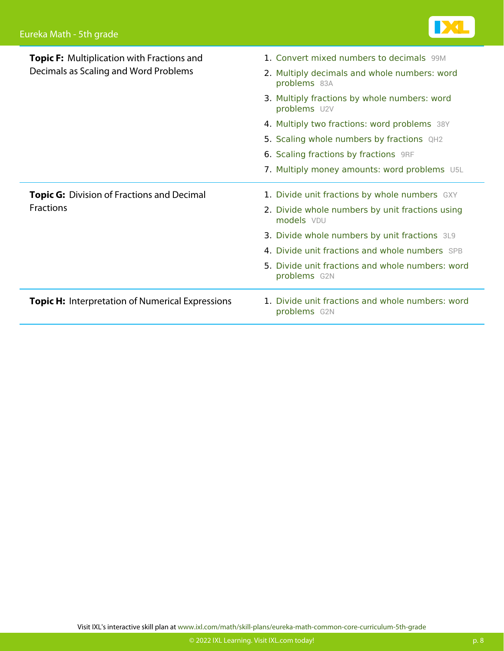

| <b>Topic F:</b> Multiplication with Fractions and<br>Decimals as Scaling and Word Problems | 1. Convert mixed numbers to decimals 99M                         |
|--------------------------------------------------------------------------------------------|------------------------------------------------------------------|
|                                                                                            | 2. Multiply decimals and whole numbers: word<br>problems 83A     |
|                                                                                            | 3. Multiply fractions by whole numbers: word<br>problems U2V     |
|                                                                                            | 4. Multiply two fractions: word problems 38Y                     |
|                                                                                            | 5. Scaling whole numbers by fractions QH2                        |
|                                                                                            | 6. Scaling fractions by fractions 9RF                            |
|                                                                                            | 7. Multiply money amounts: word problems U5L                     |
|                                                                                            |                                                                  |
| <b>Topic G:</b> Division of Fractions and Decimal                                          | 1. Divide unit fractions by whole numbers GXY                    |
| <b>Fractions</b>                                                                           | 2. Divide whole numbers by unit fractions using<br>models VDU    |
|                                                                                            | 3. Divide whole numbers by unit fractions 3L9                    |
|                                                                                            | 4. Divide unit fractions and whole numbers SPB                   |
|                                                                                            | 5. Divide unit fractions and whole numbers: word<br>problems G2N |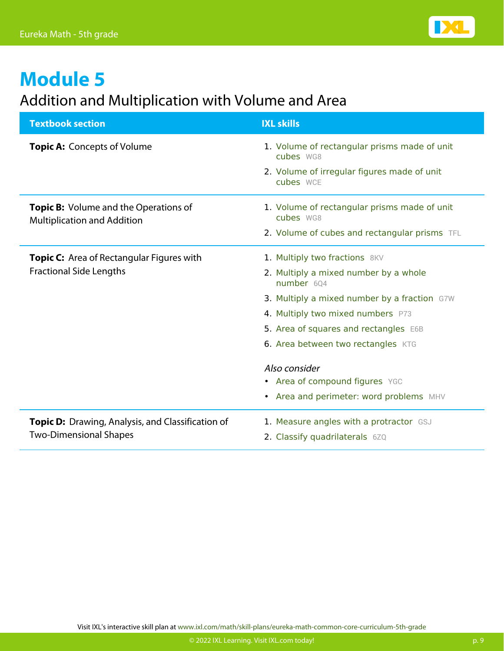

### Addition and Multiplication with Volume and Area

| <b>Textbook section</b>                                                            | <b>IXL skills</b>                                         |
|------------------------------------------------------------------------------------|-----------------------------------------------------------|
| <b>Topic A: Concepts of Volume</b>                                                 | 1. Volume of rectangular prisms made of unit<br>cubes WG8 |
|                                                                                    | 2. Volume of irregular figures made of unit<br>cubes WCE  |
| <b>Topic B:</b> Volume and the Operations of<br><b>Multiplication and Addition</b> | 1. Volume of rectangular prisms made of unit<br>cubes WG8 |
|                                                                                    | 2. Volume of cubes and rectangular prisms TFL             |
| <b>Topic C:</b> Area of Rectangular Figures with                                   | 1. Multiply two fractions 8KV                             |
| <b>Fractional Side Lengths</b>                                                     | 2. Multiply a mixed number by a whole<br>number 604       |
|                                                                                    | 3. Multiply a mixed number by a fraction G7W              |
|                                                                                    | 4. Multiply two mixed numbers P73                         |
|                                                                                    | 5. Area of squares and rectangles E6B                     |
|                                                                                    | 6. Area between two rectangles KTG                        |
|                                                                                    | Also consider                                             |
|                                                                                    | • Area of compound figures YGC                            |
|                                                                                    | • Area and perimeter: word problems MHV                   |
| Topic D: Drawing, Analysis, and Classification of<br><b>Two-Dimensional Shapes</b> | 1. Measure angles with a protractor GSJ                   |
|                                                                                    | 2. Classify quadrilaterals 6ZQ                            |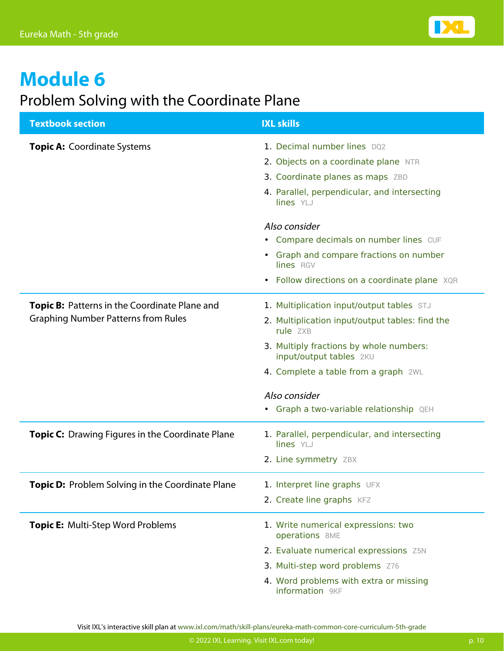

### Problem Solving with the Coordinate Plane

| <b>Textbook section</b>                                                                     | <b>IXL skills</b>                                                                                                                                                                                                                                                                  |
|---------------------------------------------------------------------------------------------|------------------------------------------------------------------------------------------------------------------------------------------------------------------------------------------------------------------------------------------------------------------------------------|
| <b>Topic A: Coordinate Systems</b>                                                          | 1. Decimal number lines DQ2<br>2. Objects on a coordinate plane NTR<br>3. Coordinate planes as maps ZBD<br>4. Parallel, perpendicular, and intersecting<br>lines YLJ<br>Also consider                                                                                              |
|                                                                                             | • Compare decimals on number lines CUF<br>• Graph and compare fractions on number<br>lines RGV<br>• Follow directions on a coordinate plane XQR                                                                                                                                    |
| Topic B: Patterns in the Coordinate Plane and<br><b>Graphing Number Patterns from Rules</b> | 1. Multiplication input/output tables STJ<br>2. Multiplication input/output tables: find the<br>rule ZXB<br>3. Multiply fractions by whole numbers:<br>input/output tables 2KU<br>4. Complete a table from a graph 2WL<br>Also consider<br>• Graph a two-variable relationship QEH |
| <b>Topic C:</b> Drawing Figures in the Coordinate Plane                                     | 1. Parallel, perpendicular, and intersecting<br>lines YLJ<br>2. Line symmetry ZBX                                                                                                                                                                                                  |
| Topic D: Problem Solving in the Coordinate Plane                                            | 1. Interpret line graphs UFX<br>2. Create line graphs KFZ                                                                                                                                                                                                                          |
| Topic E: Multi-Step Word Problems                                                           | 1. Write numerical expressions: two<br>operations 8ME<br>2. Evaluate numerical expressions Z5N<br>3. Multi-step word problems Z76<br>4. Word problems with extra or missing<br>information 9KF                                                                                     |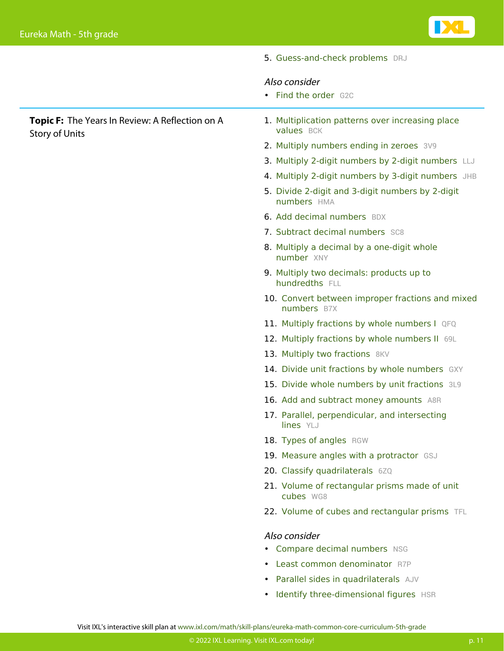

5. [Guess-and-check problems](https://www.ixl.com/math/grade-5/guess-and-check-problems) [DRJ](https://www.ixl.com/math/grade-5/guess-and-check-problems)

### Also consider

• [Find the order](https://www.ixl.com/math/grade-5/find-the-order) [G2C](https://www.ixl.com/math/grade-5/find-the-order)

**Topic F:** The Years In Review: A Reflection on A Story of Units

- 1. [Multiplication patterns over increasing place](https://www.ixl.com/math/grade-5/multiplication-patterns-over-increasing-place-values) [values](https://www.ixl.com/math/grade-5/multiplication-patterns-over-increasing-place-values) [BCK](https://www.ixl.com/math/grade-5/multiplication-patterns-over-increasing-place-values)
- 2. [Multiply numbers ending in zeroes](https://www.ixl.com/math/grade-5/multiply-numbers-ending-in-zeroes) [3V9](https://www.ixl.com/math/grade-5/multiply-numbers-ending-in-zeroes)
- 3. [Multiply 2-digit numbers by 2-digit numbers](https://www.ixl.com/math/grade-5/multiply-2-digit-numbers-by-2-digit-numbers) [LLJ](https://www.ixl.com/math/grade-5/multiply-2-digit-numbers-by-2-digit-numbers)
- 4. [Multiply 2-digit numbers by 3-digit numbers](https://www.ixl.com/math/grade-5/multiply-2-digit-numbers-by-3-digit-numbers) [JHB](https://www.ixl.com/math/grade-5/multiply-2-digit-numbers-by-3-digit-numbers)
- 5. [Divide 2-digit and 3-digit numbers by 2-digit](https://www.ixl.com/math/grade-5/divide-2-digit-and-3-digit-numbers-by-2-digit-numbers) [numbers](https://www.ixl.com/math/grade-5/divide-2-digit-and-3-digit-numbers-by-2-digit-numbers) [HMA](https://www.ixl.com/math/grade-5/divide-2-digit-and-3-digit-numbers-by-2-digit-numbers)
- 6. [Add decimal numbers](https://www.ixl.com/math/grade-5/add-decimal-numbers) [BDX](https://www.ixl.com/math/grade-5/add-decimal-numbers)
- 7. [Subtract decimal numbers](https://www.ixl.com/math/grade-5/subtract-decimal-numbers) [SC8](https://www.ixl.com/math/grade-5/subtract-decimal-numbers)
- 8. [Multiply a decimal by a one-digit whole](https://www.ixl.com/math/grade-5/multiply-a-decimal-by-a-one-digit-whole-number) [number](https://www.ixl.com/math/grade-5/multiply-a-decimal-by-a-one-digit-whole-number) [XNY](https://www.ixl.com/math/grade-5/multiply-a-decimal-by-a-one-digit-whole-number)
- 9. [Multiply two decimals: products up to](https://www.ixl.com/math/grade-5/multiply-two-decimals-products-up-to-hundredths) [hundredths](https://www.ixl.com/math/grade-5/multiply-two-decimals-products-up-to-hundredths) [FLL](https://www.ixl.com/math/grade-5/multiply-two-decimals-products-up-to-hundredths)
- 10. [Convert between improper fractions and mixed](https://www.ixl.com/math/grade-5/convert-between-improper-fractions-and-mixed-numbers) [numbers](https://www.ixl.com/math/grade-5/convert-between-improper-fractions-and-mixed-numbers) [B7X](https://www.ixl.com/math/grade-5/convert-between-improper-fractions-and-mixed-numbers)
- 11. [Multiply fractions by whole numbers I](https://www.ixl.com/math/grade-5/multiply-fractions-by-whole-numbers) [QFQ](https://www.ixl.com/math/grade-5/multiply-fractions-by-whole-numbers)
- 12. [Multiply fractions by whole numbers II](https://www.ixl.com/math/grade-5/multiply-fractions-by-whole-numbers-ii) [69L](https://www.ixl.com/math/grade-5/multiply-fractions-by-whole-numbers-ii)
- 13. [Multiply two fractions](https://www.ixl.com/math/grade-5/multiply-two-fractions) [8KV](https://www.ixl.com/math/grade-5/multiply-two-fractions)
- 14. [Divide unit fractions by whole numbers](https://www.ixl.com/math/grade-5/divide-unit-fractions-by-whole-numbers) [GXY](https://www.ixl.com/math/grade-5/divide-unit-fractions-by-whole-numbers)
- 15. [Divide whole numbers by unit fractions](https://www.ixl.com/math/grade-5/divide-whole-numbers-by-unit-fractions) [3L9](https://www.ixl.com/math/grade-5/divide-whole-numbers-by-unit-fractions)
- 16. [Add and subtract money amounts](https://www.ixl.com/math/grade-5/add-and-subtract-money-amounts) [A8R](https://www.ixl.com/math/grade-5/add-and-subtract-money-amounts)
- 17. [Parallel, perpendicular, and intersecting](https://www.ixl.com/math/grade-5/parallel-perpendicular-and-intersecting-lines) [lines](https://www.ixl.com/math/grade-5/parallel-perpendicular-and-intersecting-lines) [YLJ](https://www.ixl.com/math/grade-5/parallel-perpendicular-and-intersecting-lines)
- 18. [Types of angles](https://www.ixl.com/math/grade-5/types-of-angles) [RGW](https://www.ixl.com/math/grade-5/types-of-angles)
- 19. [Measure angles with a protractor](https://www.ixl.com/math/grade-5/measure-angles-with-a-protractor) [GSJ](https://www.ixl.com/math/grade-5/measure-angles-with-a-protractor)
- 20. [Classify quadrilaterals](https://www.ixl.com/math/grade-5/classify-quadrilaterals) [6ZQ](https://www.ixl.com/math/grade-5/classify-quadrilaterals)
- 21. [Volume of rectangular prisms made of unit](https://www.ixl.com/math/grade-5/volume-of-rectangular-prisms-made-of-unit-cubes) [cubes](https://www.ixl.com/math/grade-5/volume-of-rectangular-prisms-made-of-unit-cubes) [WG8](https://www.ixl.com/math/grade-5/volume-of-rectangular-prisms-made-of-unit-cubes)
- 22. [Volume of cubes and rectangular prisms](https://www.ixl.com/math/grade-5/volume-of-cubes-and-rectangular-prisms) [TFL](https://www.ixl.com/math/grade-5/volume-of-cubes-and-rectangular-prisms)

### Also consider

- [Compare decimal numbers](https://www.ixl.com/math/grade-5/compare-decimal-numbers) [NSG](https://www.ixl.com/math/grade-5/compare-decimal-numbers)
- [Least common denominator](https://www.ixl.com/math/grade-5/least-common-denominator) [R7P](https://www.ixl.com/math/grade-5/least-common-denominator)
- [Parallel sides in quadrilaterals](https://www.ixl.com/math/grade-5/parallel-sides-in-quadrilaterals) [AJV](https://www.ixl.com/math/grade-5/parallel-sides-in-quadrilaterals)
- [Identify three-dimensional figures](https://www.ixl.com/math/grade-5/identify-three-dimensional-figures) [HSR](https://www.ixl.com/math/grade-5/identify-three-dimensional-figures)